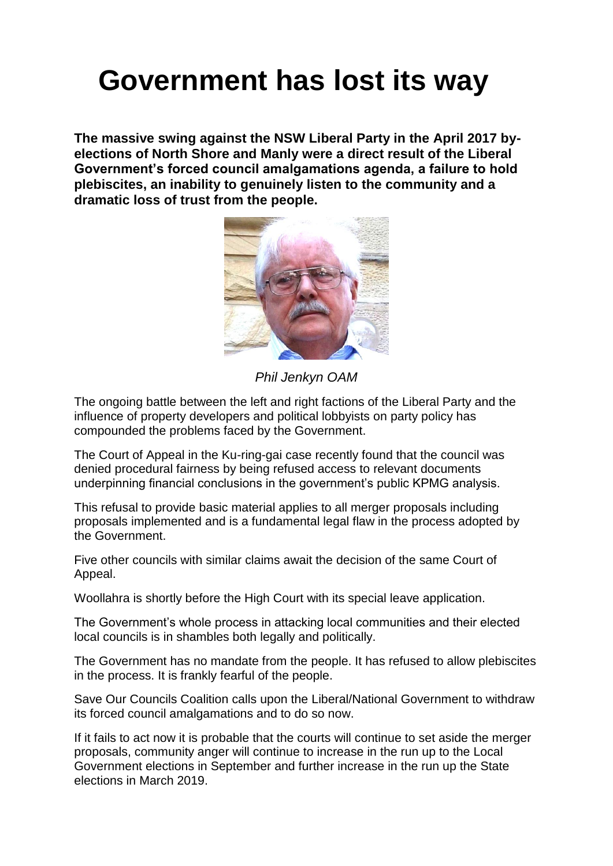## **Government has lost its way**

**The massive swing against the NSW Liberal Party in the April 2017 byelections of North Shore and Manly were a direct result of the Liberal Government's forced council amalgamations agenda, a failure to hold plebiscites, an inability to genuinely listen to the community and a dramatic loss of trust from the people.**



*Phil Jenkyn OAM*

The ongoing battle between the left and right factions of the Liberal Party and the influence of property developers and political lobbyists on party policy has compounded the problems faced by the Government.

The Court of Appeal in the Ku-ring-gai case recently found that the council was denied procedural fairness by being refused access to relevant documents underpinning financial conclusions in the government's public KPMG analysis.

This refusal to provide basic material applies to all merger proposals including proposals implemented and is a fundamental legal flaw in the process adopted by the Government.

Five other councils with similar claims await the decision of the same Court of Appeal.

Woollahra is shortly before the High Court with its special leave application.

The Government's whole process in attacking local communities and their elected local councils is in shambles both legally and politically.

The Government has no mandate from the people. It has refused to allow plebiscites in the process. It is frankly fearful of the people.

Save Our Councils Coalition calls upon the Liberal/National Government to withdraw its forced council amalgamations and to do so now.

If it fails to act now it is probable that the courts will continue to set aside the merger proposals, community anger will continue to increase in the run up to the Local Government elections in September and further increase in the run up the State elections in March 2019.